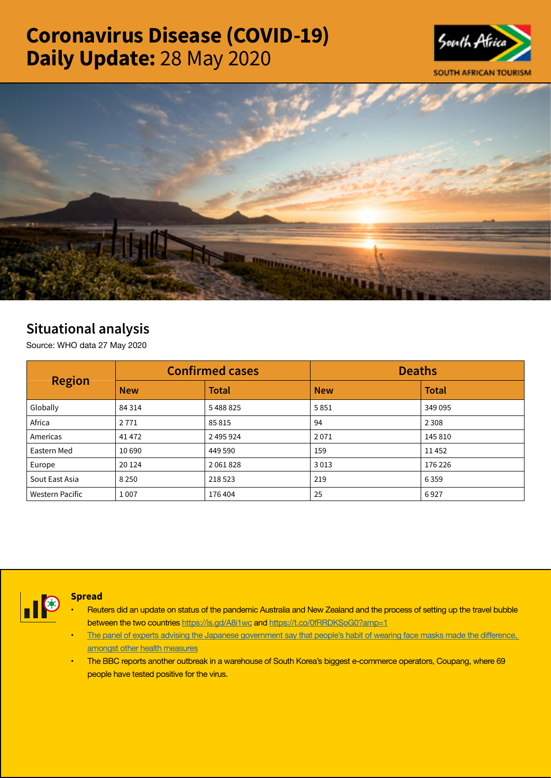# Coronavirus Disease (COVID-19) Daily Update: 28 May 2020





# Situational analysis

Source: WHO data 27 May 2020

| <b>Region</b>          |            | <b>Confirmed cases</b> | <b>Deaths</b> |              |  |
|------------------------|------------|------------------------|---------------|--------------|--|
|                        | <b>New</b> | <b>Total</b>           | <b>New</b>    | <b>Total</b> |  |
| Globally               | 84 3 14    | 5488825                | 5851          | 349 095      |  |
| Africa                 | 2771       | 85815                  | 94            | 2 3 0 8      |  |
| Americas               | 41472      | 2 495 924              | 2071          | 145 810      |  |
| Eastern Med            | 10 690     | 449 590                | 159           | 11452        |  |
| Europe                 | 20 124     | 2061828                | 3013          | 176 226      |  |
| Sout East Asia         | 8 2 5 0    | 218 523                | 219           | 6359         |  |
| <b>Western Pacific</b> | 1 0 0 7    | 176404                 | 25            | 6927         |  |



## Spread

- Reuters did an update on status of the pandemic Australia and New Zealand and the process of setting up the travel bubble between the two countries <https://is.gd/A8i1wc> and<https://t.co/0fRRDKSoG0?amp=1>
- The panel of experts advising the Japanese [government](https://t.co/92S1B5AVNp?amp=1) say that people's habit of wearing face masks made the difference, [amongst other health measures](https://t.co/92S1B5AVNp?amp=1)
- The BBC reports another outbreak in a warehouse of South Korea's biggest e-commerce operators, Coupang, where 69 people have tested positive for the virus.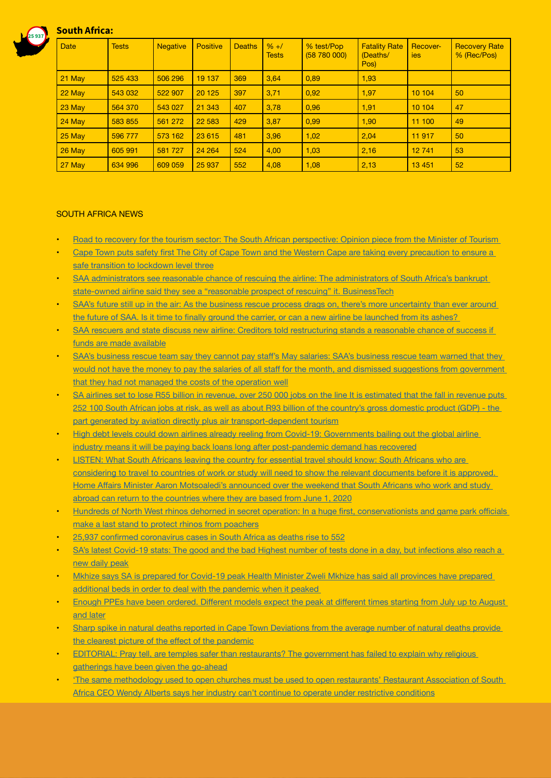

# South Africa:

| <b>Date</b> | <b>Tests</b> | <b>Negative</b> | <b>Positive</b> | <b>Deaths</b> | $% + /$<br><b>Tests</b> | % test/Pop<br>(58 780 000) | <b>Fatality Rate</b><br>(Deaths/<br>Pos) | Recover-<br>ies | <b>Recovery Rate</b><br>% (Rec/Pos) |
|-------------|--------------|-----------------|-----------------|---------------|-------------------------|----------------------------|------------------------------------------|-----------------|-------------------------------------|
| 21 May      | 525 433      | 506 296         | 19 137          | 369           | 3,64                    | 0,89                       | 1,93                                     |                 |                                     |
| 22 May      | 543 032      | 522 907         | 20 1 25         | 397           | 3,71                    | 0,92                       | 1,97                                     | 10 104          | 50                                  |
| 23 May      | 564 370      | 543 027         | 21 343          | 407           | 3.78                    | 0,96                       | 1,91                                     | 10 104          | 47                                  |
| 24 May      | 583 855      | 561 272         | 22 5 83         | 429           | 3,87                    | 0,99                       | 1,90                                     | 11 100          | 49                                  |
| 25 May      | 596 777      | 573 162         | 23 615          | 481           | 3,96                    | 1,02                       | 2,04                                     | 11917           | 50                                  |
| 26 May      | 605 991      | 581 727         | 24 264          | 524           | 4.00                    | 1,03                       | 2,16                                     | 12741           | 53                                  |
| 27 May      | 634 996      | 609 059         | 25 937          | 552           | 4,08                    | 1,08                       | 2,13                                     | 13 4 51         | 52                                  |

#### SOUTH AFRICA NEWS

- Road to recovery for the tourism sector: The South African perspective: Opinion piece from the Minister of Tourism
- Cape Town puts safety first The City of Cape Town and the Western Cape are taking every [precaution](http://www.tourismupdate.co.za/article/199514/Cape-Town-puts-safety-first) to ensure a [safe transition to lockdown level three](http://www.tourismupdate.co.za/article/199514/Cape-Town-puts-safety-first)
- SAA administrators see reasonable chance of rescuing the airline: The administrators of South Africa's bankrupt [state-owned airline said they see a "reasonable prospect of rescuing" it. BusinessTech](https://businesstech.co.za/news/business/402445/saa-administrators-see-reasonable-chance-of-rescuing-the-airline/)
- SAA's future still up in the air: As the business rescue process drags on, there's more [uncertainty](https://www.businesslive.co.za/fm/features/2020-05-28-saas-future-still-up-in-the-air/) than ever around the future of SAA. Is it time to finally ground the carrier, or can a new airline be [launched](https://www.businesslive.co.za/fm/features/2020-05-28-saas-future-still-up-in-the-air/) from its ashes?
- SAA rescuers and state discuss new airline: Creditors told restructuring stands a reasonable chance of success if [funds are made available](https://www.businesslive.co.za/bd/national/2020-05-28-saa-rescuers-and-state-discuss-new-airline/)
- SAA's [business](https://www.iol.co.za/news/politics/saas-business-rescue-team-say-they-cannot-pay-staffs-may-salaries-48615575) rescue team say they cannot pay staff's May salaries: SAA's business rescue team warned that they would not have the money to pay the salaries of all staff for the month, and dismissed [suggestions](https://www.iol.co.za/news/politics/saas-business-rescue-team-say-they-cannot-pay-staffs-may-salaries-48615575) from government [that they had not managed the costs of the operation well](https://www.iol.co.za/news/politics/saas-business-rescue-team-say-they-cannot-pay-staffs-may-salaries-48615575)
- SA airlines set to lose R55 billion in revenue, over 250 000 jobs on the line It is [estimated](https://www.fin24.com/Companies/Industrial/sa-airlines-set-to-lose-r55-billion-in-revenue-over-250-000-jobs-on-the-line-20200528-2) that the fall in revenue puts 252 100 South African jobs at risk, as well as about R93 billion of the country's gross [domestic](https://www.fin24.com/Companies/Industrial/sa-airlines-set-to-lose-r55-billion-in-revenue-over-250-000-jobs-on-the-line-20200528-2) product (GDP) - the [part generated by aviation directly plus air transport-dependent tourism](https://www.fin24.com/Companies/Industrial/sa-airlines-set-to-lose-r55-billion-in-revenue-over-250-000-jobs-on-the-line-20200528-2)
- High debt levels could down airlines already reeling from Covid-19: [Governments](https://www.businesslive.co.za/bd/companies/2020-05-27-high-debt-levels-could-down-airlines-already-reeling-from-covid-19/) bailing out the global airline [industry means it will be paying back loans long after post-pandemic demand has recovered](https://www.businesslive.co.za/bd/companies/2020-05-27-high-debt-levels-could-down-airlines-already-reeling-from-covid-19/)
- **LISTEN: What South Africans leaving the country for essential travel should know: South Africans who are** [considering to travel to countries of work or study will need to show the relevant documents before it is approved.](https://www.iol.co.za/travel/travel-news/listen-what-south-africans-leaving-the-country-for-essential-travel-should-know-48562969)  Home Affairs Minister Aaron [Motsoaledi's](https://www.iol.co.za/travel/travel-news/listen-what-south-africans-leaving-the-country-for-essential-travel-should-know-48562969) announced over the weekend that South Africans who work and study abroad can return to the [countries](https://www.iol.co.za/travel/travel-news/listen-what-south-africans-leaving-the-country-for-essential-travel-should-know-48562969) where they are based from June 1, 2020
- Hundreds of North West rhinos dehorned in secret operation: In a huge first, [conservationists](https://select.timeslive.co.za/news/2020-05-28-hundreds-of-north-west-rhinos-dehorned-in-secret-operation/) and game park officials [make a last stand to protect rhinos from poachers](https://select.timeslive.co.za/news/2020-05-28-hundreds-of-north-west-rhinos-dehorned-in-secret-operation/)
- 25,937 confirmed [coronavirus](https://businesstech.co.za/news/trending/402359/25937-confirmed-coronavirus-cases-in-south-africa-as-deaths-rise-to-552/) cases in South Africa as deaths rise to 552
- SA's latest Covid-19 stats: The good and the bad Highest number of tests done in a day, but [infections](https://www.moneyweb.co.za/news/south-africa/sas-latest-covid-19-stats-the-good-and-the-bad/) also reach a [new daily peak](https://www.moneyweb.co.za/news/south-africa/sas-latest-covid-19-stats-the-good-and-the-bad/)
- Mkhize says SA is prepared for Covid-19 peak Health Minister Zweli Mkhize has said all [provinces](https://www.iol.co.za/news/politics/mkhize-says-sa-is-prepared-for-covid-19-peak-48598368) have prepared [additional beds in order to deal with the pandemic when it peaked](https://www.iol.co.za/news/politics/mkhize-says-sa-is-prepared-for-covid-19-peak-48598368)
- Enough PPEs have been ordered. [Different](https://www.health24.com/Medical/Infectious-diseases/Coronavirus/coronavirus-morning-update-global-demand-for-test-kits-clarity-on-hotspots-and-soldiers-cleared-20200528-3) models expect the peak at different times starting from July up to August [and later](https://www.health24.com/Medical/Infectious-diseases/Coronavirus/coronavirus-morning-update-global-demand-for-test-kits-clarity-on-hotspots-and-soldiers-cleared-20200528-3)
- Sharp spike in natural deaths reported in Cape Town Deviations from the average number of natural deaths provide the clearest picture of the effect of the [pandemic](https://www.businesslive.co.za/bd/national/health/2020-05-27-sharp-spike-in-natural-deaths-reported-in-cape-town/)
- EDITORIAL: Pray tell, are temples safer than [restaurants?](https://www.businesslive.co.za/bd/opinion/editorials/2020-05-27-editorial-pray-tell-are-temples-safer-than-restaurants/) The government has failed to explain why religious [gatherings have been given the go-ahead](https://www.businesslive.co.za/bd/opinion/editorials/2020-05-27-editorial-pray-tell-are-temples-safer-than-restaurants/)
- 'The same methodology used to open churches must be used to open restaurants' Restaurant Association of South [Africa CEO Wendy Alberts says her industry can't continue to operate under restrictive conditions](https://www.702.co.za/articles/384970/the-same-methodology-used-to-open-churches-must-be-used-to-open-restaurants?ref=pid:93)